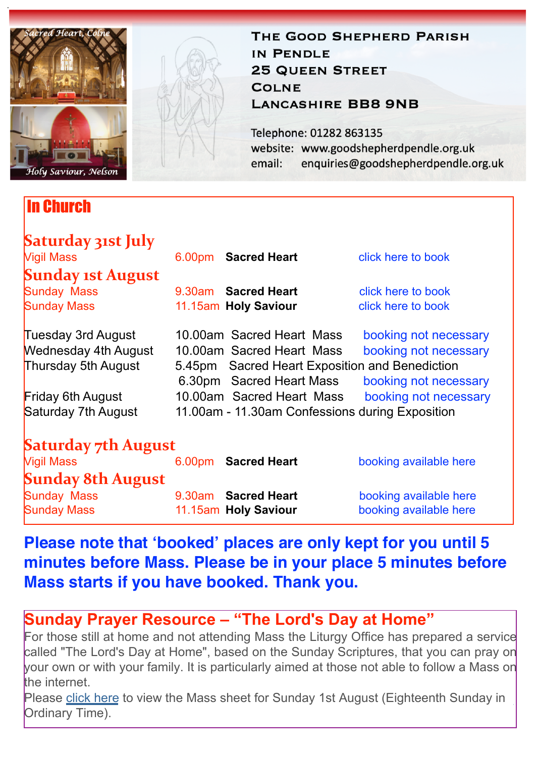

In Church

#### THE GOOD SHEPHERD PARISH IN PENDLE **25 QUEEN STREET COLNE LANCASHIRE BB8 9NB**

Telephone: 01282 863135 website: www.goodshepherdpendle.org.uk email: enquiries@goodshepherdpendle.org.uk

| Saturday 31st July          |  |                                                 |                        |
|-----------------------------|--|-------------------------------------------------|------------------------|
| <b>Vigil Mass</b>           |  | 6.00pm Sacred Heart                             | click here to book     |
| <b>Sunday 1st August</b>    |  |                                                 |                        |
| <b>Sunday Mass</b>          |  | 9.30am Sacred Heart                             | click here to book     |
| <b>Sunday Mass</b>          |  | 11.15am Holy Saviour                            | click here to book     |
| Tuesday 3rd August          |  | 10.00am Sacred Heart Mass                       | booking not necessary  |
| <b>Wednesday 4th August</b> |  | 10.00am Sacred Heart Mass                       | booking not necessary  |
| Thursday 5th August         |  | 5.45pm Sacred Heart Exposition and Benediction  |                        |
|                             |  | 6.30pm Sacred Heart Mass                        | booking not necessary  |
| <b>Friday 6th August</b>    |  | 10.00am Sacred Heart Mass                       | booking not necessary  |
| Saturday 7th August         |  | 11.00am - 11.30am Confessions during Exposition |                        |
| <b>Saturday 7th August</b>  |  |                                                 |                        |
| <b>Vigil Mass</b>           |  | 6.00pm Sacred Heart                             | booking available here |
| <b>Sunday 8th August</b>    |  |                                                 |                        |
| <b>Sunday Mass</b>          |  | 9.30am Sacred Heart                             | booking available here |
| <b>Sunday Mass</b>          |  | 11.15am Holy Saviour                            | booking available here |

## **Please note that 'booked' places are only kept for you until 5 minutes before Mass. Please be in your place 5 minutes before Mass starts if you have booked. Thank you.**

## **Sunday Prayer Resource – "The Lord's Day at Home"**

For those still at home and not attending Mass the Liturgy Office has prepared a service called "The Lord's Day at Home", based on the Sunday Scriptures, that you can pray on your own or with your family. It is particularly aimed at those not able to follow a Mass on the internet.

Please [click here](https://gbr01.safelinks.protection.outlook.com/?url=https%3A%2F%2Fdioceseofsalford.us6.list-manage.com%2Ftrack%2Fclick%3Fu%3D76e219dab8653b775ba8aac4c%26id%3Ddf7a3d08e5%26e%3D5ce69633f0&data=04%7C01%7Cpeter.wilkinson%40dioceseofsalford.org.uk%7C8657d83cd905480f5a5e08d951a49c17%7C699a61ae142a45a090c604b2f08de19b%7C0%7C0%7C637630589695629872%7CUnknown%7CTWFpbGZsb3d8eyJWIjoiMC4wLjAwMDAiLCJQIjoiV2luMzIiLCJBTiI6Ik1haWwiLCJXVCI6Mn0%3D%7C1000&sdata=ZNv8EYzKWppTsPlDQzDCe1ggtrWTbZ9Sa2g0SEUyB98%3D&reserved=0) to view the Mass sheet for Sunday 1st August (Eighteenth Sunday in Ordinary Time).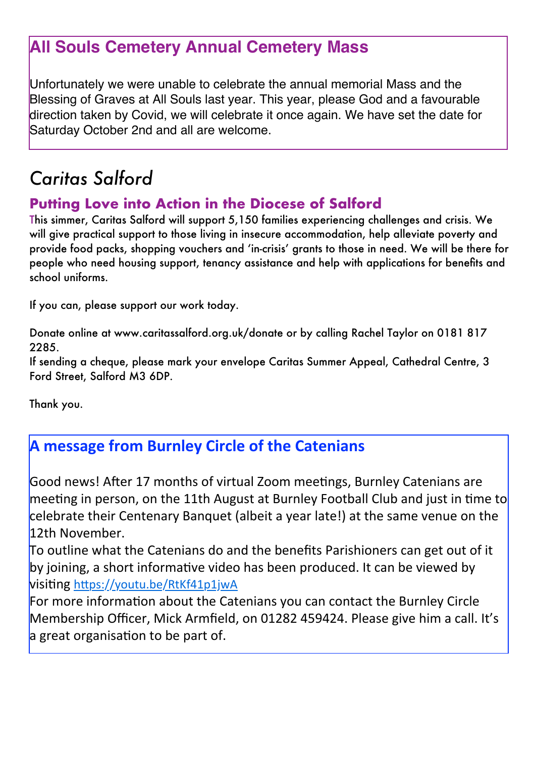# **All Souls Cemetery Annual Cemetery Mass**

Unfortunately we were unable to celebrate the annual memorial Mass and the Blessing of Graves at All Souls last year. This year, please God and a favourable direction taken by Covid, we will celebrate it once again. We have set the date for Saturday October 2nd and all are welcome.

# *Caritas Salford*

### **Putting Love into Action in the Diocese of Salford**

This simmer, Caritas Salford will support 5,150 families experiencing challenges and crisis. We will give practical support to those living in insecure accommodation, help alleviate poverty and provide food packs, shopping vouchers and 'in-crisis' grants to those in need. We will be there for people who need housing support, tenancy assistance and help with applications for benefits and school uniforms.

If you can, please support our work today.

Donate online at www.caritassalford.org.uk/donate or by calling Rachel Taylor on 0181 817 2285.

If sending a cheque, please mark your envelope Caritas Summer Appeal, Cathedral Centre, 3 Ford Street, Salford M3 6DP.

Thank you.

## **A** message from Burnley Circle of the Catenians

Good news! After 17 months of virtual Zoom meetings, Burnley Catenians are meeting in person, on the 11th August at Burnley Football Club and just in time to celebrate their Centenary Banquet (albeit a vear late!) at the same venue on the 12th November.

To outline what the Catenians do and the benefits Parishioners can get out of it by joining, a short informative video has been produced. It can be viewed by **visiting https://youtu.be/RtKf41p1jwA** 

For more information about the Catenians you can contact the Burnley Circle Membership Officer, Mick Armfield, on 01282 459424. Please give him a call. It's a great organisation to be part of.